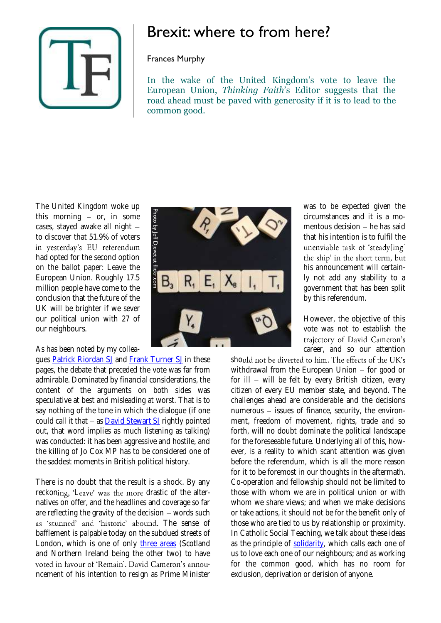

## Brexit: where to from here?

## Frances Murphy

In the wake of the United Kingdom's vote to leave the European Union, *Thinking Faith*'s Editor suggests that the road ahead must be paved with generosity if it is to lead to the common good.

The United Kingdom woke up this morning  $-$  or, in some cases, stayed awake all night to discover that 51.9% of voters in yesterday's EU referendum had opted for the second option on the ballot paper: Leave the European Union. Roughly 17.5 million people have come to the conclusion that the future of the UK will be brighter if we sever our political union with 27 of our neighbours.

## As has been noted by my collea-

gues **Patrick Riordan SJ and [Frank Turner SJ](https://www.thinkingfaith.org/articles/momentous-perhaps-fateful-referendum) in these** pages, the debate that preceded the vote was far from admirable. Dominated by financial considerations, the content of the arguments on both sides was speculative at best and misleading at worst. That is to say nothing of the tone in which the dialogue (if one could call it that  $-$  as [David Stewart SJ](http://www.americamagazine.org/content/dispatches/its-bitter-conclusion-hate-and-fear-propel-brexit-referendum) rightly pointed out, that word implies as much listening as talking) was conducted: it has been aggressive and hostile, and the killing of Jo Cox MP has to be considered one of the saddest moments in British political history.

There is no doubt that the result is a shock. By any reckoning, 'Leave' was the more drastic of the alternatives on offer, and the headlines and coverage so far are reflecting the gravity of the decision  $-$  words such as 'stunned' and 'historic' abound. The sense of bafflement is palpable today on the subdued streets of London, which is one of only [three areas](http://www.bbc.co.uk/news/uk-politics-36616028) (Scotland and Northern Ireland being the other two) to have voted in favour of 'Remain'. David Cameron's announcement of his intention to resign as Prime Minister



was to be expected given the circumstances and it is a momentous decision  $-$  he has said that his intention is to fulfil the unenviable task of 'steady[ing] the ship' in the short term, but his announcement will certainly not add any stability to a government that has been split by this referendum.

However, the objective of this vote was not to establish the trajectory of David Cameron's career, and so our attention

should not be diverted to him. The effects of the UK's withdrawal from the European Union  $-$  for good or for ill  $-$  will be felt by every British citizen, every citizen of every EU member state, and beyond. The challenges ahead are considerable and the decisions numerous  $-$  issues of finance, security, the environment, freedom of movement, rights, trade and so forth, will no doubt dominate the political landscape for the foreseeable future. Underlying all of this, however, is a reality to which scant attention was given before the referendum, which is all the more reason for it to be foremost in our thoughts in the aftermath. Co-operation and fellowship should not be limited to those with whom we are in political union or with whom we share views; and when we make decisions or take actions, it should not be for the benefit only of those who are tied to us by relationship or proximity. In Catholic Social Teaching, we talk about these ideas as the principle of [solidarity,](https://www.thinkingfaith.org/articles/whatever-happened-solidarity) which calls each one of us to love each one of our neighbours; and as working for the common good, which has no room for exclusion, deprivation or derision of anyone.